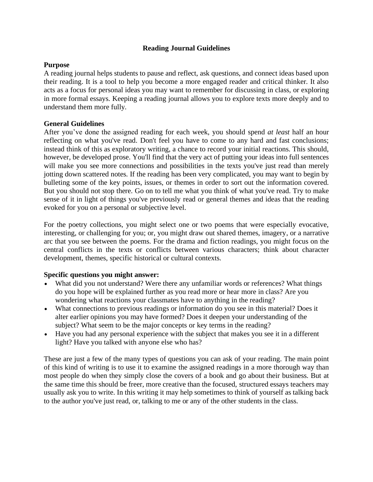### **Reading Journal Guidelines**

#### **Purpose**

A reading journal helps students to pause and reflect, ask questions, and connect ideas based upon their reading. It is a tool to help you become a more engaged reader and critical thinker. It also acts as a focus for personal ideas you may want to remember for discussing in class, or exploring in more formal essays. Keeping a reading journal allows you to explore texts more deeply and to understand them more fully.

#### **General Guidelines**

After you've done the assigned reading for each week, you should spend *at least* half an hour reflecting on what you've read. Don't feel you have to come to any hard and fast conclusions; instead think of this as exploratory writing, a chance to record your initial reactions. This should, however, be developed prose. You'll find that the very act of putting your ideas into full sentences will make you see more connections and possibilities in the texts you've just read than merely jotting down scattered notes. If the reading has been very complicated, you may want to begin by bulleting some of the key points, issues, or themes in order to sort out the information covered. But you should not stop there. Go on to tell me what you think of what you've read. Try to make sense of it in light of things you've previously read or general themes and ideas that the reading evoked for you on a personal or subjective level.

For the poetry collections, you might select one or two poems that were especially evocative, interesting, or challenging for you; or, you might draw out shared themes, imagery, or a narrative arc that you see between the poems. For the drama and fiction readings, you might focus on the central conflicts in the texts or conflicts between various characters; think about character development, themes, specific historical or cultural contexts.

#### **Specific questions you might answer:**

- What did you not understand? Were there any unfamiliar words or references? What things do you hope will be explained further as you read more or hear more in class? Are you wondering what reactions your classmates have to anything in the reading?
- What connections to previous readings or information do you see in this material? Does it alter earlier opinions you may have formed? Does it deepen your understanding of the subject? What seem to be the major concepts or key terms in the reading?
- Have you had any personal experience with the subject that makes you see it in a different light? Have you talked with anyone else who has?

These are just a few of the many types of questions you can ask of your reading. The main point of this kind of writing is to use it to examine the assigned readings in a more thorough way than most people do when they simply close the covers of a book and go about their business. But at the same time this should be freer, more creative than the focused, structured essays teachers may usually ask you to write. In this writing it may help sometimes to think of yourself as talking back to the author you've just read, or, talking to me or any of the other students in the class.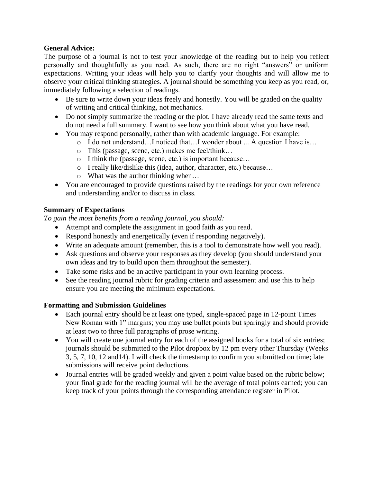### **General Advice:**

The purpose of a journal is not to test your knowledge of the reading but to help you reflect personally and thoughtfully as you read. As such, there are no right "answers" or uniform expectations. Writing your ideas will help you to clarify your thoughts and will allow me to observe your critical thinking strategies. A journal should be something you keep as you read, or, immediately following a selection of readings.

- Be sure to write down your ideas freely and honestly. You will be graded on the quality of writing and critical thinking, not mechanics.
- Do not simply summarize the reading or the plot. I have already read the same texts and do not need a full summary. I want to see how you think about what you have read.
- You may respond personally, rather than with academic language. For example:
	- o I do not understand…I noticed that…I wonder about ... A question I have is…
	- o This (passage, scene, etc.) makes me feel/think…
	- o I think the (passage, scene, etc.) is important because…
	- o I really like/dislike this (idea, author, character, etc.) because…
	- o What was the author thinking when…
- You are encouraged to provide questions raised by the readings for your own reference and understanding and/or to discuss in class.

## **Summary of Expectations**

*To gain the most benefits from a reading journal, you should:*

- Attempt and complete the assignment in good faith as you read.
- Respond honestly and energetically (even if responding negatively).
- Write an adequate amount (remember, this is a tool to demonstrate how well you read).
- Ask questions and observe your responses as they develop (you should understand your own ideas and try to build upon them throughout the semester).
- Take some risks and be an active participant in your own learning process.
- See the reading journal rubric for grading criteria and assessment and use this to help ensure you are meeting the minimum expectations.

## **Formatting and Submission Guidelines**

- Each journal entry should be at least one typed, single-spaced page in 12-point Times New Roman with 1" margins; you may use bullet points but sparingly and should provide at least two to three full paragraphs of prose writing.
- You will create one journal entry for each of the assigned books for a total of six entries; journals should be submitted to the Pilot dropbox by 12 pm every other Thursday (Weeks 3, 5, 7, 10, 12 and14). I will check the timestamp to confirm you submitted on time; late submissions will receive point deductions.
- Journal entries will be graded weekly and given a point value based on the rubric below; your final grade for the reading journal will be the average of total points earned; you can keep track of your points through the corresponding attendance register in Pilot.